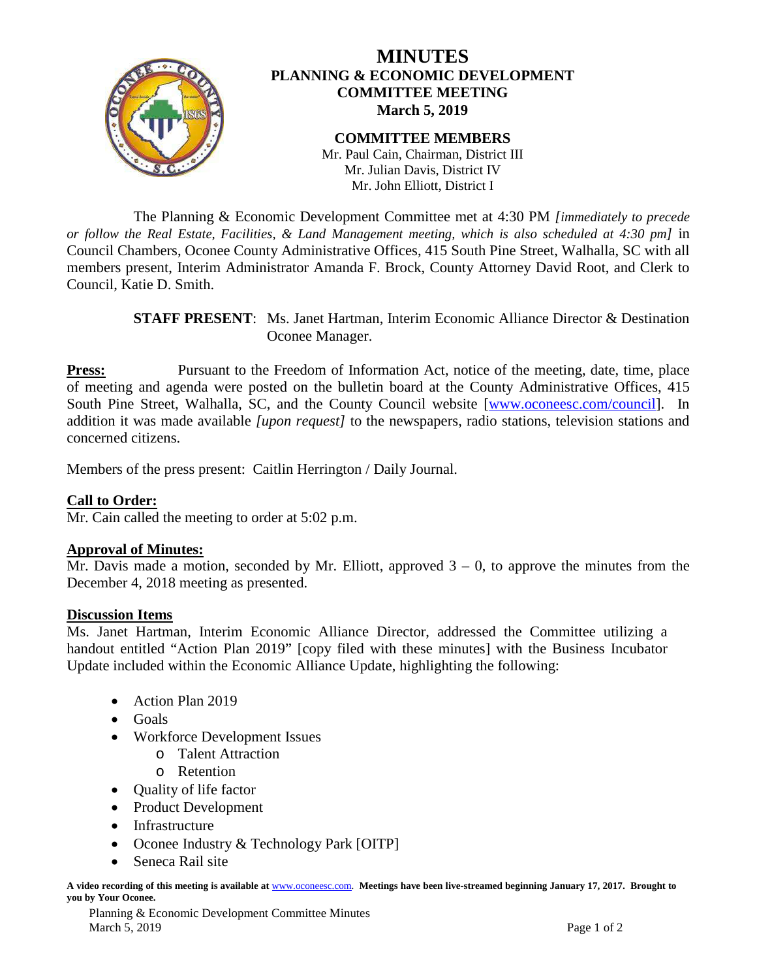

The Planning & Economic Development Committee met at 4:30 PM *[immediately to precede or follow the Real Estate, Facilities, & Land Management meeting, which is also scheduled at 4:30 pm]* in Council Chambers, Oconee County Administrative Offices, 415 South Pine Street, Walhalla, SC with all members present, Interim Administrator Amanda F. Brock, County Attorney David Root, and Clerk to Council, Katie D. Smith.

> **STAFF PRESENT**: Ms. Janet Hartman, Interim Economic Alliance Director & Destination Oconee Manager.

**Press:** Pursuant to the Freedom of Information Act, notice of the meeting, date, time, place of meeting and agenda were posted on the bulletin board at the County Administrative Offices, 415 South Pine Street, Walhalla, SC, and the County Council website [\[www.oconeesc.com/council\]](http://www.oconeesc.com/council). In addition it was made available *[upon request]* to the newspapers, radio stations, television stations and concerned citizens.

Members of the press present: Caitlin Herrington / Daily Journal.

### **Call to Order:**

Mr. Cain called the meeting to order at 5:02 p.m.

### **Approval of Minutes:**

Mr. Davis made a motion, seconded by Mr. Elliott, approved  $3 - 0$ , to approve the minutes from the December 4, 2018 meeting as presented.

### **Discussion Items**

Ms. Janet Hartman, Interim Economic Alliance Director, addressed the Committee utilizing a handout entitled "Action Plan 2019" [copy filed with these minutes] with the Business Incubator Update included within the Economic Alliance Update, highlighting the following:

- Action Plan 2019
- Goals
- Workforce Development Issues
	- o Talent Attraction
	- o Retention
- Quality of life factor
- Product Development
- Infrastructure
- Oconee Industry & Technology Park [OITP]
- Seneca Rail site

**A video recording of this meeting is available at** [www.oconeesc.com.](http://www.oconeesc.com/) **Meetings have been live-streamed beginning January 17, 2017. Brought to you by Your Oconee.**